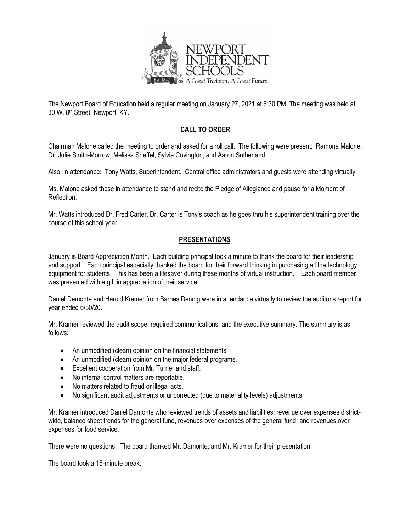

The Newport Board of Education held a regular meeting on January 27, 2021 at 6:30 PM. The meeting was held at 30 W. 8th Street, Newport, KY.

# **CALL TO ORDER**

Chairman Malone called the meeting to order and asked for a roll call. The following were present: Ramona Malone, Dr. Julie Smith-Morrow, Melissa Sheffel, Sylvia Covington, and Aaron Sutherland.

Also, in attendance: Tony Watts, Superintendent. Central office administrators and guests were attending virtually.

Ms. Malone asked those in attendance to stand and recite the Pledge of Allegiance and pause for a Moment of Reflection.

Mr. Watts introduced Dr. Fred Carter. Dr. Carter is Tony's coach as he goes thru his superintendent training over the course of this school year.

# **PRESENTATIONS**

January is Board Appreciation Month. Each building principal took a minute to thank the board for their leadership and support. Each principal especially thanked the board for their forward thinking in purchasing all the technology equipment for students. This has been a lifesaver during these months of virtual instruction. Each board member was presented with a gift in appreciation of their service.

Daniel Demonte and Harold Kremer from Barnes Dennig were in attendance virtually to review the auditor's report for year ended 6/30/20.

Mr. Kramer reviewed the audit scope, required communications, and the executive summary. The summary is as follows:

- An unmodified (clean) opinion on the financial statements.
- An unmodified (clean) opinion on the major federal programs.
- Excellent cooperation from Mr. Turner and staff.
- No internal control matters are reportable.
- No matters related to fraud or illegal acts.
- No significant audit adjustments or uncorrected (due to materiality levels) adjustments.

Mr. Kramer introduced Daniel Damonte who reviewed trends of assets and liabilities, revenue over expenses districtwide, balance sheet trends for the general fund, revenues over expenses of the general fund, and revenues over expenses for food service.

There were no questions. The board thanked Mr. Damonte, and Mr. Kramer for their presentation.

The board took a 15-minute break.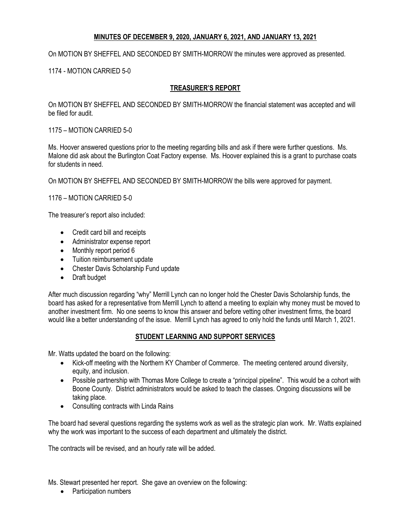## **MINUTES OF DECEMBER 9, 2020, JANUARY 6, 2021, AND JANUARY 13, 2021**

On MOTION BY SHEFFEL AND SECONDED BY SMITH-MORROW the minutes were approved as presented.

## 1174 - MOTION CARRIED 5-0

## **TREASURER'S REPORT**

On MOTION BY SHEFFEL AND SECONDED BY SMITH-MORROW the financial statement was accepted and will be filed for audit.

1175 – MOTION CARRIED 5-0

Ms. Hoover answered questions prior to the meeting regarding bills and ask if there were further questions. Ms. Malone did ask about the Burlington Coat Factory expense. Ms. Hoover explained this is a grant to purchase coats for students in need.

On MOTION BY SHEFFEL AND SECONDED BY SMITH-MORROW the bills were approved for payment.

1176 – MOTION CARRIED 5-0

The treasurer's report also included:

- Credit card bill and receipts
- Administrator expense report
- Monthly report period 6
- Tuition reimbursement update
- Chester Davis Scholarship Fund update
- Draft budget

After much discussion regarding "why" Merrill Lynch can no longer hold the Chester Davis Scholarship funds, the board has asked for a representative from Merrill Lynch to attend a meeting to explain why money must be moved to another investment firm. No one seems to know this answer and before vetting other investment firms, the board would like a better understanding of the issue. Merrill Lynch has agreed to only hold the funds until March 1, 2021.

### **STUDENT LEARNING AND SUPPORT SERVICES**

Mr. Watts updated the board on the following:

- Kick-off meeting with the Northern KY Chamber of Commerce. The meeting centered around diversity, equity, and inclusion.
- Possible partnership with Thomas More College to create a "principal pipeline". This would be a cohort with Boone County. District administrators would be asked to teach the classes. Ongoing discussions will be taking place.
- Consulting contracts with Linda Rains

The board had several questions regarding the systems work as well as the strategic plan work. Mr. Watts explained why the work was important to the success of each department and ultimately the district.

The contracts will be revised, and an hourly rate will be added.

Ms. Stewart presented her report. She gave an overview on the following:

• Participation numbers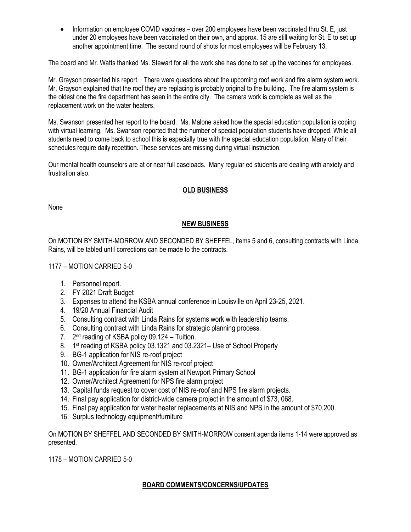• Information on employee COVID vaccines – over 200 employees have been vaccinated thru St. E, just under 20 employees have been vaccinated on their own, and approx. 15 are still waiting for St. E to set up another appointment time. The second round of shots for most employees will be February 13.

The board and Mr. Watts thanked Ms. Stewart for all the work she has done to set up the vaccines for employees.

Mr. Grayson presented his report. There were questions about the upcoming roof work and fire alarm system work. Mr. Grayson explained that the roof they are replacing is probably original to the building. The fire alarm system is the oldest one the fire department has seen in the entire city. The camera work is complete as well as the replacement work on the water heaters.

Ms. Swanson presented her report to the board. Ms. Malone asked how the special education population is coping with virtual learning. Ms. Swanson reported that the number of special population students have dropped. While all students need to come back to school this is especially true with the special education population. Many of their schedules require daily repetition. These services are missing during virtual instruction.

Our mental health counselors are at or near full caseloads. Many regular ed students are dealing with anxiety and frustration also.

## **OLD BUSINESS**

None

## **NEW BUSINESS**

On MOTION BY SMITH-MORROW AND SECONDED BY SHEFFEL, items 5 and 6, consulting contracts with Linda Rains, will be tabled until corrections can be made to the contracts.

### 1177 – MOTION CARRIED 5-0

- 1. Personnel report.
- 2. FY 2021 Draft Budget
- 3. Expenses to attend the KSBA annual conference in Louisville on April 23-25, 2021.
- 4. 19/20 Annual Financial Audit
- 5. Consulting contract with Linda Rains for systems work with leadership teams.
- 6. Consulting contract with Linda Rains for strategic planning process.
- 7. 2<sup>nd</sup> reading of KSBA policy 09.124 Tuition.
- 8. 1st reading of KSBA policy 03.1321 and 03.2321– Use of School Property
- 9. BG-1 application for NIS re-roof project
- 10. Owner/Architect Agreement for NIS re-roof project
- 11. BG-1 application for fire alarm system at Newport Primary School
- 12. Owner/Architect Agreement for NPS fire alarm project
- 13. Capital funds request to cover cost of NIS re-roof and NPS fire alarm projects.
- 14. Final pay application for district-wide camera project in the amount of \$73, 068.
- 15. Final pay application for water heater replacements at NIS and NPS in the amount of \$70,200.
- 16. Surplus technology equipment/furniture

On MOTION BY SHEFFEL AND SECONDED BY SMITH-MORROW consent agenda items 1-14 were approved as presented.

1178 – MOTION CARRIED 5-0

### **BOARD COMMENTS/CONCERNS/UPDATES**